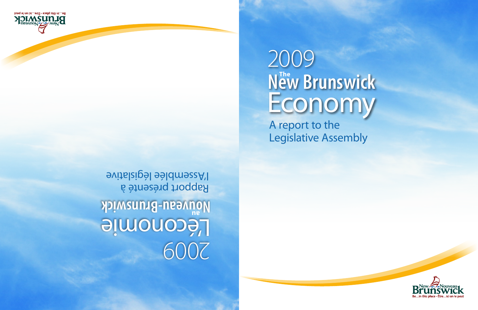# $N_{\text{ew}}^{\text{The}}$  Brunswick Economy 2009

A report to the Legislative Assembly

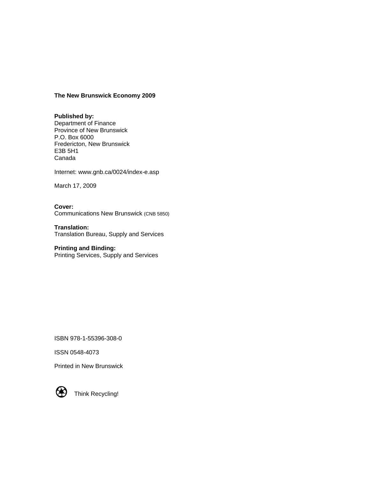#### **The New Brunswick Economy 2009**

#### **Published by:**

Department of Finance Province of New Brunswick P.O. Box 6000 Fredericton, New Brunswick E3B 5H1 Canada

Internet: www.gnb.ca/0024/index-e.asp

March 17, 2009

**Cover:** Communications New Brunswick (CNB 5850)

**Translation:** Translation Bureau, Supply and Services

#### **Printing and Binding:**

Printing Services, Supply and Services

ISBN 978-1-55396-308-0

ISSN 0548-4073

Printed in New Brunswick



Think Recycling!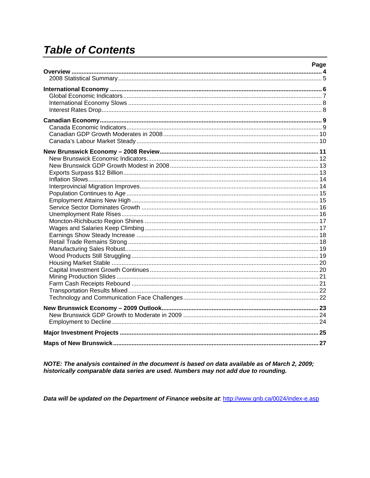# **Table of Contents**

| Page |
|------|
|      |
|      |
|      |
|      |
|      |
|      |
|      |
|      |
|      |
|      |
|      |
|      |
|      |
|      |
|      |
|      |
|      |
|      |
|      |
|      |
|      |
|      |
|      |
|      |
|      |
|      |
|      |
|      |
|      |
|      |
|      |
|      |
|      |
|      |
|      |
|      |
|      |
|      |

NOTE: The analysis contained in the document is based on data available as of March 2, 2009;<br>historically comparable data series are used. Numbers may not add due to rounding.

Data will be updated on the Department of Finance website at http://www.gnb.ca/0024/index-e.asp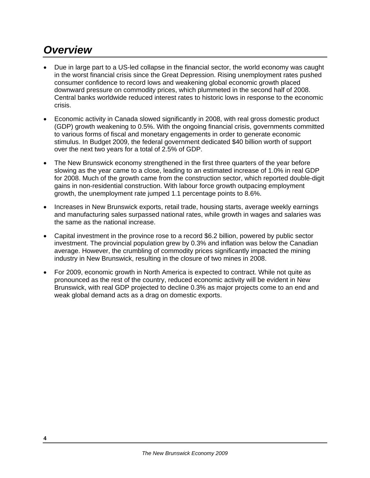# *Overview*

- Due in large part to a US-led collapse in the financial sector, the world economy was caught in the worst financial crisis since the Great Depression. Rising unemployment rates pushed consumer confidence to record lows and weakening global economic growth placed downward pressure on commodity prices, which plummeted in the second half of 2008. Central banks worldwide reduced interest rates to historic lows in response to the economic crisis.
- Economic activity in Canada slowed significantly in 2008, with real gross domestic product (GDP) growth weakening to 0.5%. With the ongoing financial crisis, governments committed to various forms of fiscal and monetary engagements in order to generate economic stimulus. In Budget 2009, the federal government dedicated \$40 billion worth of support over the next two years for a total of 2.5% of GDP.
- The New Brunswick economy strengthened in the first three quarters of the year before slowing as the year came to a close, leading to an estimated increase of 1.0% in real GDP for 2008. Much of the growth came from the construction sector, which reported double-digit gains in non-residential construction. With labour force growth outpacing employment growth, the unemployment rate jumped 1.1 percentage points to 8.6%.
- Increases in New Brunswick exports, retail trade, housing starts, average weekly earnings and manufacturing sales surpassed national rates, while growth in wages and salaries was the same as the national increase.
- Capital investment in the province rose to a record \$6.2 billion, powered by public sector investment. The provincial population grew by 0.3% and inflation was below the Canadian average. However, the crumbling of commodity prices significantly impacted the mining industry in New Brunswick, resulting in the closure of two mines in 2008.
- For 2009, economic growth in North America is expected to contract. While not quite as pronounced as the rest of the country, reduced economic activity will be evident in New Brunswick, with real GDP projected to decline 0.3% as major projects come to an end and weak global demand acts as a drag on domestic exports.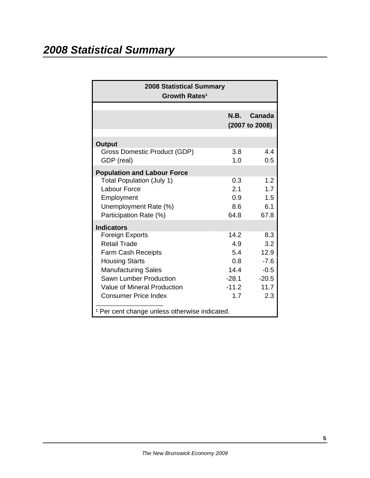# *2008 Statistical Summary*

| <b>2008 Statistical Summary</b><br>Growth Rates <sup>1</sup>                                                                                                                                                              |                                                                |                                                                  |
|---------------------------------------------------------------------------------------------------------------------------------------------------------------------------------------------------------------------------|----------------------------------------------------------------|------------------------------------------------------------------|
|                                                                                                                                                                                                                           |                                                                | N.B. Canada<br>(2007 to 2008)                                    |
| <b>Output</b><br>Gross Domestic Product (GDP)<br>GDP (real)                                                                                                                                                               | 3.8<br>1.0                                                     | 4.4<br>0.5                                                       |
| <b>Population and Labour Force</b><br><b>Total Population (July 1)</b><br><b>Labour Force</b><br>Employment<br>Unemployment Rate (%)<br>Participation Rate (%)                                                            | 0.3<br>2.1<br>0.9<br>8.6<br>64.8                               | 1.2<br>1.7<br>1.5<br>6.1<br>67.8                                 |
| <b>Indicators</b><br>Foreign Exports<br>Retail Trade<br><b>Farm Cash Receipts</b><br><b>Housing Starts</b><br><b>Manufacturing Sales</b><br>Sawn Lumber Production<br>Value of Mineral Production<br>Consumer Price Index | 14.2<br>4.9<br>5.4<br>0.8<br>14.4<br>$-28.1$<br>$-11.2$<br>1.7 | 8.3<br>3.2<br>12.9<br>$-7.6$<br>$-0.5$<br>$-20.5$<br>11.7<br>2.3 |
| <sup>1</sup> Per cent change unless otherwise indicated.                                                                                                                                                                  |                                                                |                                                                  |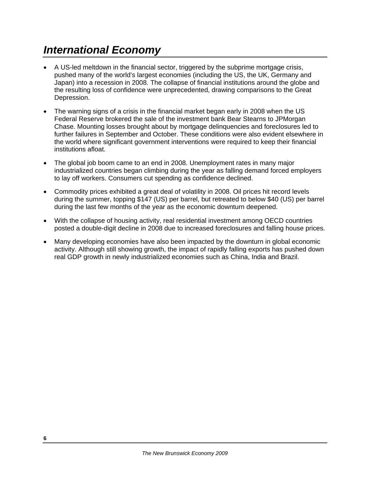# *International Economy*

- A US-led meltdown in the financial sector, triggered by the subprime mortgage crisis, pushed many of the world's largest economies (including the US, the UK, Germany and Japan) into a recession in 2008. The collapse of financial institutions around the globe and the resulting loss of confidence were unprecedented, drawing comparisons to the Great Depression.
- The warning signs of a crisis in the financial market began early in 2008 when the US Federal Reserve brokered the sale of the investment bank Bear Stearns to JPMorgan Chase. Mounting losses brought about by mortgage delinquencies and foreclosures led to further failures in September and October. These conditions were also evident elsewhere in the world where significant government interventions were required to keep their financial institutions afloat.
- The global job boom came to an end in 2008. Unemployment rates in many major industrialized countries began climbing during the year as falling demand forced employers to lay off workers. Consumers cut spending as confidence declined.
- Commodity prices exhibited a great deal of volatility in 2008. Oil prices hit record levels during the summer, topping \$147 (US) per barrel, but retreated to below \$40 (US) per barrel during the last few months of the year as the economic downturn deepened.
- With the collapse of housing activity, real residential investment among OECD countries posted a double-digit decline in 2008 due to increased foreclosures and falling house prices.
- Many developing economies have also been impacted by the downturn in global economic activity. Although still showing growth, the impact of rapidly falling exports has pushed down real GDP growth in newly industrialized economies such as China, India and Brazil.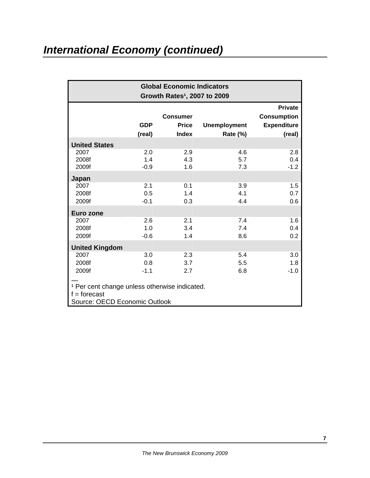# *International Economy (continued)*

| <b>Global Economic Indicators</b><br>Growth Rates <sup>1</sup> , 2007 to 2009                               |                      |                                                 |                                 |                                                                      |  |
|-------------------------------------------------------------------------------------------------------------|----------------------|-------------------------------------------------|---------------------------------|----------------------------------------------------------------------|--|
|                                                                                                             | <b>GDP</b><br>(real) | <b>Consumer</b><br><b>Price</b><br><b>Index</b> | <b>Unemployment</b><br>Rate (%) | <b>Private</b><br><b>Consumption</b><br><b>Expenditure</b><br>(real) |  |
| <b>United States</b>                                                                                        |                      |                                                 |                                 |                                                                      |  |
| 2007<br>2008f<br>2009f                                                                                      | 2.0<br>1.4<br>$-0.9$ | 2.9<br>4.3<br>1.6                               | 4.6<br>5.7<br>7.3               | 2.8<br>0.4<br>$-1.2$                                                 |  |
| Japan                                                                                                       |                      |                                                 |                                 |                                                                      |  |
| 2007<br>2008f<br>2009f                                                                                      | 2.1<br>0.5<br>$-0.1$ | 0.1<br>1.4<br>0.3                               | 3.9<br>4.1<br>4.4               | 1.5<br>0.7<br>0.6                                                    |  |
| Euro zone                                                                                                   |                      |                                                 |                                 |                                                                      |  |
| 2007<br>2008f<br>2009f                                                                                      | 2.6<br>1.0<br>$-0.6$ | 2.1<br>3.4<br>1.4                               | 7.4<br>7.4<br>8.6               | 1.6<br>0.4<br>0.2                                                    |  |
| <b>United Kingdom</b>                                                                                       |                      |                                                 |                                 |                                                                      |  |
| 2007<br>2008f<br>2009f                                                                                      | 3.0<br>0.8<br>$-1.1$ | 2.3<br>3.7<br>2.7                               | 5.4<br>5.5<br>6.8               | 3.0<br>1.8<br>$-1.0$                                                 |  |
| <sup>1</sup> Per cent change unless otherwise indicated.<br>$f =$ forecast<br>Source: OECD Economic Outlook |                      |                                                 |                                 |                                                                      |  |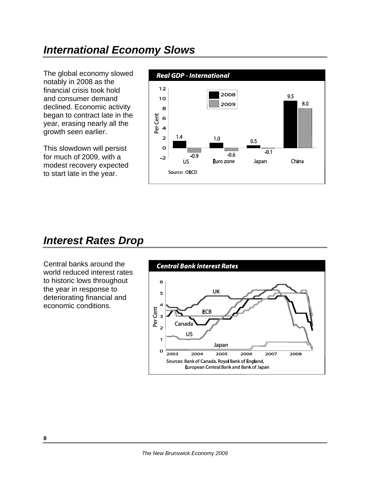#### *International Economy Slows*

The global economy slowed notably in 2008 as the financial crisis took hold and consumer demand declined. Economic activity began to contract late in the year, erasing nearly all the growth seen earlier.

This slowdown will persist for much of 2009, with a modest recovery expected to start late in the year.



#### *Interest Rates Drop*

Central banks around the world reduced interest rates to historic lows throughout the year in response to deteriorating financial and economic conditions.

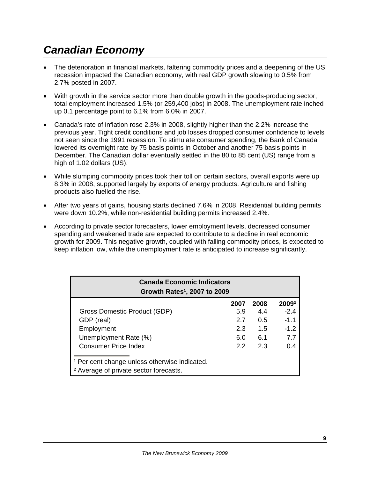# *Canadian Economy*

- The deterioration in financial markets, faltering commodity prices and a deepening of the US recession impacted the Canadian economy, with real GDP growth slowing to 0.5% from 2.7% posted in 2007.
- With growth in the service sector more than double growth in the goods-producing sector, total employment increased 1.5% (or 259,400 jobs) in 2008. The unemployment rate inched up 0.1 percentage point to 6.1% from 6.0% in 2007.
- Canada's rate of inflation rose 2.3% in 2008, slightly higher than the 2.2% increase the previous year. Tight credit conditions and job losses dropped consumer confidence to levels not seen since the 1991 recession. To stimulate consumer spending, the Bank of Canada lowered its overnight rate by 75 basis points in October and another 75 basis points in December. The Canadian dollar eventually settled in the 80 to 85 cent (US) range from a high of 1.02 dollars (US).
- While slumping commodity prices took their toll on certain sectors, overall exports were up 8.3% in 2008, supported largely by exports of energy products. Agriculture and fishing products also fuelled the rise.
- After two years of gains, housing starts declined 7.6% in 2008. Residential building permits were down 10.2%, while non-residential building permits increased 2.4%.
- According to private sector forecasters, lower employment levels, decreased consumer spending and weakened trade are expected to contribute to a decline in real economic growth for 2009. This negative growth, coupled with falling commodity prices, is expected to keep inflation low, while the unemployment rate is anticipated to increase significantly.

| <b>Canada Economic Indicators</b><br>Growth Rates <sup>1</sup> , 2007 to 2009                                 |      |      |                   |  |  |  |
|---------------------------------------------------------------------------------------------------------------|------|------|-------------------|--|--|--|
|                                                                                                               | 2007 | 2008 | 2009 <sup>2</sup> |  |  |  |
| Gross Domestic Product (GDP)                                                                                  | 5.9  | 4.4  | $-2.4$            |  |  |  |
| GDP (real)                                                                                                    | 2.7  | 0.5  | $-1.1$            |  |  |  |
| Employment                                                                                                    | 2.3  | 1.5  | $-1.2$            |  |  |  |
| Unemployment Rate (%)                                                                                         | 6.0  | 6.1  | 7.7               |  |  |  |
| <b>Consumer Price Index</b>                                                                                   | 22   | 2.3  | 0.4               |  |  |  |
| <sup>1</sup> Per cent change unless otherwise indicated.<br><sup>2</sup> Average of private sector forecasts. |      |      |                   |  |  |  |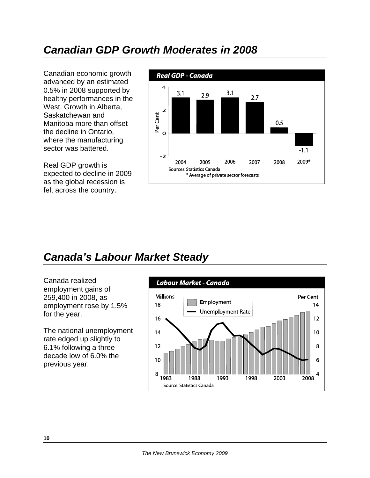#### *Canadian GDP Growth Moderates in 2008*

Canadian economic growth advanced by an estimated 0.5% in 2008 supported by healthy performances in the West. Growth in Alberta, Saskatchewan and Manitoba more than offset the decline in Ontario, where the manufacturing sector was battered.

Real GDP growth is expected to decline in 2009 as the global recession is felt across the country.



# *Canada's Labour Market Steady*

Canada realized employment gains of 259,400 in 2008, as employment rose by 1.5% for the year.

The national unemployment rate edged up slightly to 6.1% following a threedecade low of 6.0% the previous year.

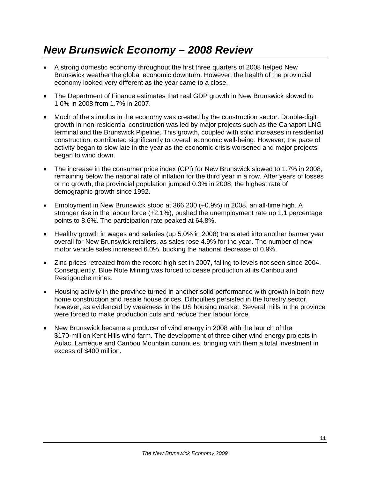# *New Brunswick Economy – 2008 Review*

- A strong domestic economy throughout the first three quarters of 2008 helped New Brunswick weather the global economic downturn. However, the health of the provincial economy looked very different as the year came to a close.
- The Department of Finance estimates that real GDP growth in New Brunswick slowed to 1.0% in 2008 from 1.7% in 2007.
- Much of the stimulus in the economy was created by the construction sector. Double-digit growth in non-residential construction was led by major projects such as the Canaport LNG terminal and the Brunswick Pipeline. This growth, coupled with solid increases in residential construction, contributed significantly to overall economic well-being. However, the pace of activity began to slow late in the year as the economic crisis worsened and major projects began to wind down.
- The increase in the consumer price index (CPI) for New Brunswick slowed to 1.7% in 2008, remaining below the national rate of inflation for the third year in a row. After years of losses or no growth, the provincial population jumped 0.3% in 2008, the highest rate of demographic growth since 1992.
- Employment in New Brunswick stood at 366,200 (+0.9%) in 2008, an all-time high. A stronger rise in the labour force (+2.1%), pushed the unemployment rate up 1.1 percentage points to 8.6%. The participation rate peaked at 64.8%.
- Healthy growth in wages and salaries (up 5.0% in 2008) translated into another banner year overall for New Brunswick retailers, as sales rose 4.9% for the year. The number of new motor vehicle sales increased 6.0%, bucking the national decrease of 0.9%.
- Zinc prices retreated from the record high set in 2007, falling to levels not seen since 2004. Consequently, Blue Note Mining was forced to cease production at its Caribou and Restigouche mines.
- Housing activity in the province turned in another solid performance with growth in both new home construction and resale house prices. Difficulties persisted in the forestry sector, however, as evidenced by weakness in the US housing market. Several mills in the province were forced to make production cuts and reduce their labour force.
- New Brunswick became a producer of wind energy in 2008 with the launch of the \$170-million Kent Hills wind farm. The development of three other wind energy projects in Aulac, Lamèque and Caribou Mountain continues, bringing with them a total investment in excess of \$400 million.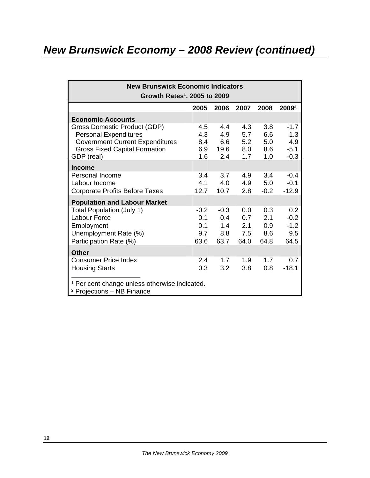# *New Brunswick Economy – 2008 Review (continued)*

| <b>New Brunswick Economic Indicators</b><br>Growth Rates <sup>1</sup> , 2005 to 2009                                                                         |                                     |                                     |                                  |                                  |                                          |  |
|--------------------------------------------------------------------------------------------------------------------------------------------------------------|-------------------------------------|-------------------------------------|----------------------------------|----------------------------------|------------------------------------------|--|
|                                                                                                                                                              | 2005                                | 2006                                | 2007                             | 2008                             | 2009 <sup>2</sup>                        |  |
| <b>Economic Accounts</b>                                                                                                                                     |                                     |                                     |                                  |                                  |                                          |  |
| Gross Domestic Product (GDP)<br><b>Personal Expenditures</b><br><b>Government Current Expenditures</b><br><b>Gross Fixed Capital Formation</b><br>GDP (real) | 4.5<br>4.3<br>8.4<br>6.9<br>1.6     | 4.4<br>4.9<br>6.6<br>19.6<br>2.4    | 4.3<br>5.7<br>5.2<br>8.0<br>1.7  | 3.8<br>6.6<br>5.0<br>8.6<br>1.0  | $-1.7$<br>1.3<br>4.9<br>$-5.1$<br>$-0.3$ |  |
| <b>Income</b>                                                                                                                                                |                                     |                                     |                                  |                                  |                                          |  |
| <b>Personal Income</b><br>Labour Income<br>Corporate Profits Before Taxes                                                                                    | 3.4<br>4.1<br>12.7                  | 3.7<br>4.0<br>10.7                  | 4.9<br>4.9<br>2.8                | 3.4<br>5.0<br>$-0.2$             | $-0.4$<br>$-0.1$<br>$-12.9$              |  |
| <b>Population and Labour Market</b>                                                                                                                          |                                     |                                     |                                  |                                  |                                          |  |
| <b>Total Population (July 1)</b><br><b>Labour Force</b><br>Employment<br>Unemployment Rate (%)<br>Participation Rate (%)                                     | $-0.2$<br>0.1<br>0.1<br>9.7<br>63.6 | $-0.3$<br>0.4<br>1.4<br>8.8<br>63.7 | 0.0<br>0.7<br>2.1<br>7.5<br>64.0 | 0.3<br>2.1<br>0.9<br>8.6<br>64.8 | 0.2<br>$-0.2$<br>$-1.2$<br>9.5<br>64.5   |  |
| <b>Other</b>                                                                                                                                                 |                                     |                                     |                                  |                                  |                                          |  |
| <b>Consumer Price Index</b><br><b>Housing Starts</b>                                                                                                         | 2.4<br>0.3                          | 1.7<br>3.2                          | 1.9<br>3.8                       | 1.7<br>0.8                       | 0.7<br>$-18.1$                           |  |
| <sup>1</sup> Per cent change unless otherwise indicated.<br><sup>2</sup> Projections – NB Finance                                                            |                                     |                                     |                                  |                                  |                                          |  |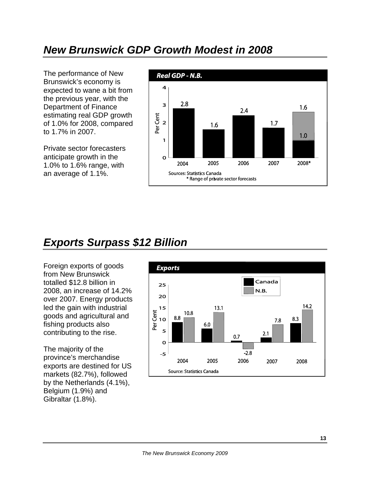## *New Brunswick GDP Growth Modest in 2008*

The performance of New Brunswick's economy is expected to wane a bit from the previous year, with the Department of Finance estimating real GDP growth of 1.0% for 2008, compared to 1.7% in 2007.

Private sector forecasters anticipate growth in the 1.0% to 1.6% range, with an average of 1.1%.



# *Exports Surpass \$12 Billion*

Foreign exports of goods from New Brunswick totalled \$12.8 billion in 2008, an increase of 14.2% over 2007. Energy products led the gain with industrial goods and agricultural and fishing products also contributing to the rise.

The majority of the province's merchandise exports are destined for US markets (82.7%), followed by the Netherlands (4.1%), Belgium (1.9%) and Gibraltar (1.8%).

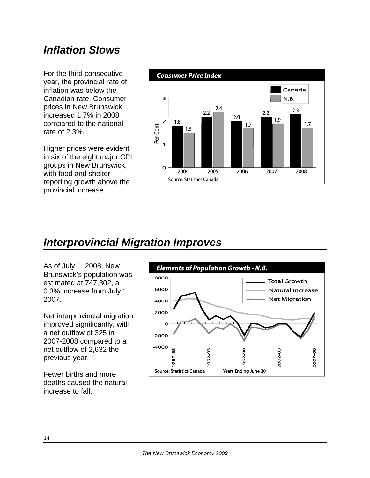# *Inflation Slows*

For the third consecutive year, the provincial rate of inflation was below the Canadian rate. Consumer prices in New Brunswick increased 1.7% in 2008 compared to the national rate of 2.3%.

Higher prices were evident in six of the eight major CPI groups in New Brunswick, with food and shelter reporting growth above the provincial increase.



#### *Interprovincial Migration Improves*

As of July 1, 2008, New Brunswick's population was estimated at 747,302, a 0.3% increase from July 1, 2007.

Net interprovincial migration improved significantly, with a net outflow of 325 in 2007-2008 compared to a net outflow of 2,632 the previous year.

Fewer births and more deaths caused the natural increase to fall.

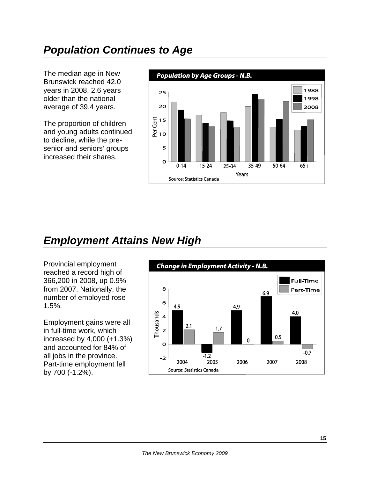# *Population Continues to Age*

The median age in New Brunswick reached 42.0 years in 2008, 2.6 years older than the national average of 39.4 years.

The proportion of children and young adults continued to decline, while the presenior and seniors' groups increased their shares.



# *Employment Attains New High*

Provincial employment reached a record high of 366,200 in 2008, up 0.9% from 2007. Nationally, the number of employed rose 1.5%.

Employment gains were all in full-time work, which increased by 4,000 (+1.3%) and accounted for 84% of all jobs in the province. Part-time employment fell by 700 (-1.2%).

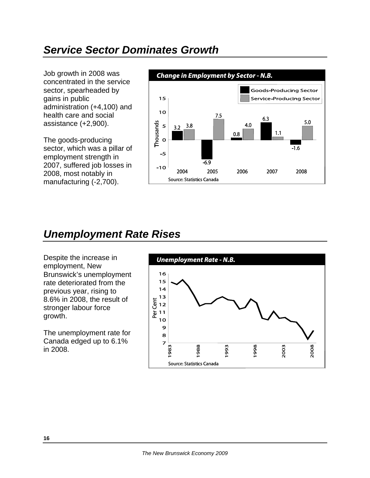## *Service Sector Dominates Growth*

Job growth in 2008 was concentrated in the service sector, spearheaded by gains in public administration (+4,100) and health care and social assistance (+2,900).

The goods-producing sector, which was a pillar of employment strength in 2007, suffered job losses in 2008, most notably in manufacturing (-2,700).



#### *Unemployment Rate Rises*

Despite the increase in employment, New Brunswick's unemployment rate deteriorated from the previous year, rising to 8.6% in 2008, the result of stronger labour force growth.

The unemployment rate for Canada edged up to 6.1% in 2008.

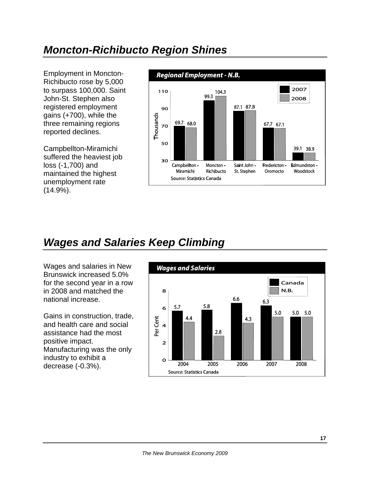# *Moncton-Richibucto Region Shines*

Employment in Moncton-Richibucto rose by 5,000 to surpass 100,000. Saint John-St. Stephen also registered employment gains (+700), while the three remaining regions reported declines.

Campbellton-Miramichi suffered the heaviest job loss (-1,700) and maintained the highest unemployment rate (14.9%).



# *Wages and Salaries Keep Climbing*

Wages and salaries in New Brunswick increased 5.0% for the second year in a row in 2008 and matched the national increase.

Gains in construction, trade, and health care and social assistance had the most positive impact. Manufacturing was the only industry to exhibit a decrease (-0.3%).

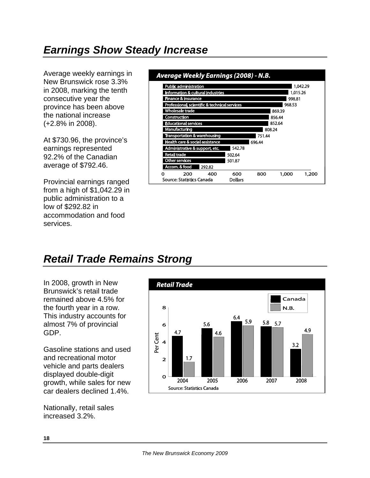# *Earnings Show Steady Increase*

Average weekly earnings in New Brunswick rose 3.3% in 2008, marking the tenth consecutive year the province has been above the national increase (+2.8% in 2008).

At \$730.96, the province's earnings represented 92.2% of the Canadian average of \$792.46.

Provincial earnings ranged from a high of \$1,042.29 in public administration to a low of \$292.82 in accommodation and food services.

#### Average Weekly Earnings (2008) - N.B. Public administration 1,042.29 Information & cultural indust 1,015.26 998.81 nce & insurance Fin 968.53 entific & tech 869.39 856.44 852.64 808.24 751.44 696.44 542.78 502.64 501.87 292.82 200 400 600 800 1,000 1,200 0 **Dollars Source: Statistics Canada**

# *Retail Trade Remains Strong*

In 2008, growth in New Brunswick's retail trade remained above 4.5% for the fourth year in a row. This industry accounts for almost 7% of provincial GDP.

Gasoline stations and used and recreational motor vehicle and parts dealers displayed double-digit growth, while sales for new car dealers declined 1.4%.

Nationally, retail sales increased 3.2%.

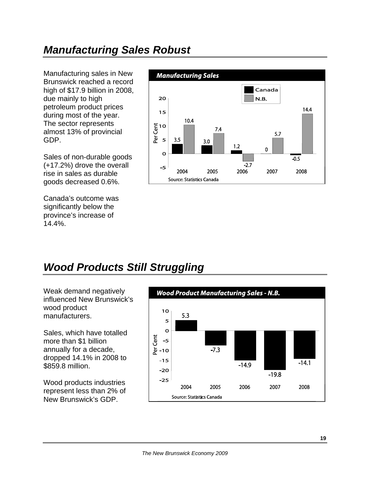# *Manufacturing Sales Robust*

Manufacturing sales in New Brunswick reached a record high of \$17.9 billion in 2008, due mainly to high petroleum product prices during most of the year. The sector represents almost 13% of provincial GDP.

Sales of non-durable goods (+17.2%) drove the overall rise in sales as durable goods decreased 0.6%.

Canada's outcome was significantly below the province's increase of 14.4%.



# *Wood Products Still Struggling*

Weak demand negatively influenced New Brunswick's wood product manufacturers.

Sales, which have totalled more than \$1 billion annually for a decade, dropped 14.1% in 2008 to \$859.8 million.

Wood products industries represent less than 2% of New Brunswick's GDP.

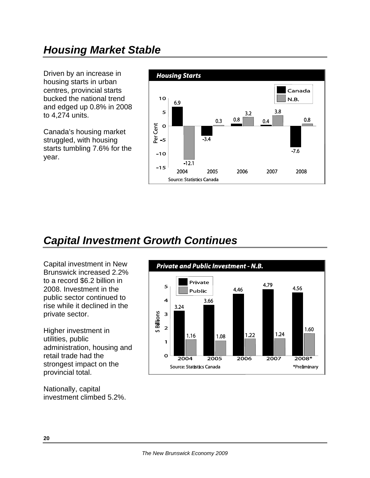Driven by an increase in housing starts in urban centres, provincial starts bucked the national trend and edged up 0.8% in 2008 to 4,274 units.

Canada's housing market struggled, with housing starts tumbling 7.6% for the year.



# *Capital Investment Growth Continues*

Capital investment in New Brunswick increased 2.2% to a record \$6.2 billion in 2008. Investment in the public sector continued to rise while it declined in the private sector.

Higher investment in utilities, public administration, housing and retail trade had the strongest impact on the provincial total.

Nationally, capital investment climbed 5.2%.

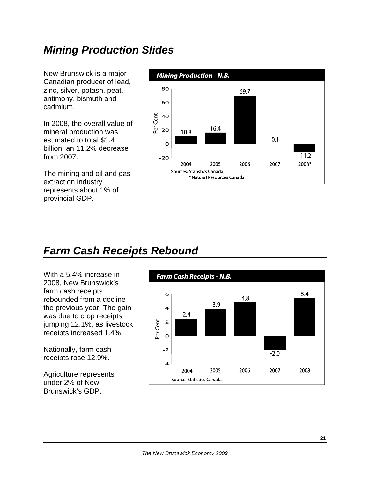# *Mining Production Slides*

New Brunswick is a major Canadian producer of lead, zinc, silver, potash, peat, antimony, bismuth and cadmium.

In 2008, the overall value of mineral production was estimated to total \$1.4 billion, an 11.2% decrease from 2007.

The mining and oil and gas extraction industry represents about 1% of provincial GDP.



#### *Farm Cash Receipts Rebound*

With a 5.4% increase in 2008, New Brunswick's farm cash receipts rebounded from a decline the previous year. The gain was due to crop receipts jumping 12.1%, as livestock receipts increased 1.4%.

Nationally, farm cash receipts rose 12.9%.

Agriculture represents under 2% of New Brunswick's GDP.

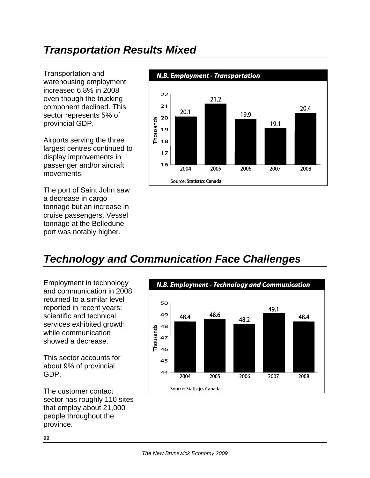# *Transportation Results Mixed*

Transportation and warehousing employment increased 6.8% in 2008 even though the trucking component declined. This sector represents 5% of provincial GDP.

Airports serving the three largest centres continued to display improvements in passenger and/or aircraft movements.

The port of Saint John saw a decrease in cargo tonnage but an increase in cruise passengers. Vessel tonnage at the Belledune port was notably higher.



# *Technology and Communication Face Challenges*

Employment in technology and communication in 2008 returned to a similar level reported in recent years; scientific and technical services exhibited growth while communication showed a decrease.

This sector accounts for about 9% of provincial GDP.

The customer contact sector has roughly 110 sites that employ about 21,000 people throughout the province.

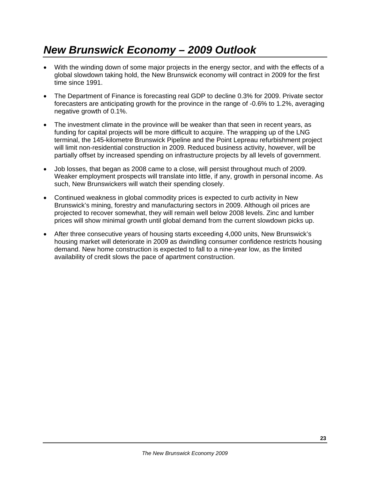# *New Brunswick Economy – 2009 Outlook*

- With the winding down of some major projects in the energy sector, and with the effects of a global slowdown taking hold, the New Brunswick economy will contract in 2009 for the first time since 1991.
- The Department of Finance is forecasting real GDP to decline 0.3% for 2009. Private sector forecasters are anticipating growth for the province in the range of -0.6% to 1.2%, averaging negative growth of 0.1%.
- The investment climate in the province will be weaker than that seen in recent years, as funding for capital projects will be more difficult to acquire. The wrapping up of the LNG terminal, the 145-kilometre Brunswick Pipeline and the Point Lepreau refurbishment project will limit non-residential construction in 2009. Reduced business activity, however, will be partially offset by increased spending on infrastructure projects by all levels of government.
- Job losses, that began as 2008 came to a close, will persist throughout much of 2009. Weaker employment prospects will translate into little, if any, growth in personal income. As such, New Brunswickers will watch their spending closely.
- Continued weakness in global commodity prices is expected to curb activity in New Brunswick's mining, forestry and manufacturing sectors in 2009. Although oil prices are projected to recover somewhat, they will remain well below 2008 levels. Zinc and lumber prices will show minimal growth until global demand from the current slowdown picks up.
- After three consecutive years of housing starts exceeding 4,000 units, New Brunswick's housing market will deteriorate in 2009 as dwindling consumer confidence restricts housing demand. New home construction is expected to fall to a nine-year low, as the limited availability of credit slows the pace of apartment construction.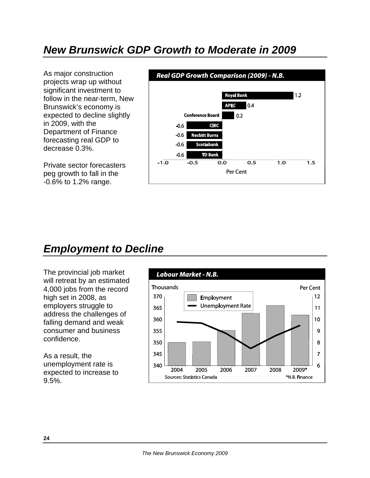#### *New Brunswick GDP Growth to Moderate in 2009*

As major construction projects wrap up without significant investment to follow in the near-term, New Brunswick's economy is expected to decline slightly in 2009, with the Department of Finance forecasting real GDP to decrease 0.3%.

Private sector forecasters peg growth to fall in the -0.6% to 1.2% range.



#### *Employment to Decline*

The provincial job market will retreat by an estimated 4,000 jobs from the record high set in 2008, as employers struggle to address the challenges of falling demand and weak consumer and business confidence.

As a result, the unemployment rate is expected to increase to 9.5%.

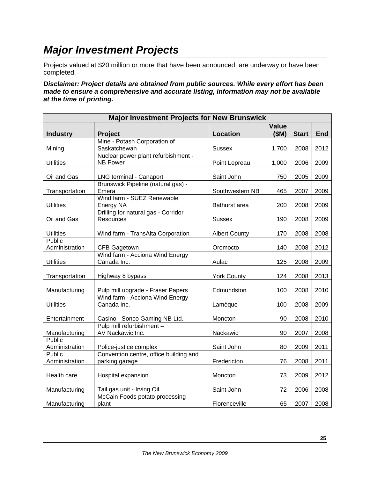## *Major Investment Projects*

Projects valued at \$20 million or more that have been announced, are underway or have been completed.

*Disclaimer: Project details are obtained from public sources. While every effort has been made to ensure a comprehensive and accurate listing, information may not be available at the time of printing.* 

| <b>Major Investment Projects for New Brunswick</b> |                                                        |                      |                      |              |            |  |
|----------------------------------------------------|--------------------------------------------------------|----------------------|----------------------|--------------|------------|--|
| <b>Industry</b>                                    | <b>Project</b>                                         | <b>Location</b>      | <b>Value</b><br>(SM) | <b>Start</b> | <b>End</b> |  |
|                                                    | Mine - Potash Corporation of                           |                      |                      |              |            |  |
| Mining                                             | Saskatchewan                                           | Sussex               | 1,700                | 2008         | 2012       |  |
| <b>Utilities</b>                                   | Nuclear power plant refurbishment -<br><b>NB Power</b> | Point Lepreau        | 1,000                | 2006         | 2009       |  |
| Oil and Gas                                        | <b>LNG terminal - Canaport</b>                         | Saint John           | 750                  | 2005         | 2009       |  |
|                                                    | Brunswick Pipeline (natural gas) -                     |                      |                      |              |            |  |
| Transportation                                     | Emera                                                  | Southwestern NB      | 465                  | 2007         | 2009       |  |
| <b>Utilities</b>                                   | Wind farm - SUEZ Renewable<br>Energy NA                | Bathurst area        | 200                  | 2008         | 2009       |  |
|                                                    | Drilling for natural gas - Corridor                    |                      |                      |              |            |  |
| Oil and Gas                                        | <b>Resources</b>                                       | <b>Sussex</b>        | 190                  | 2008         | 2009       |  |
| <b>Utilities</b>                                   | Wind farm - TransAlta Corporation                      | <b>Albert County</b> | 170                  | 2008         | 2008       |  |
| Public                                             |                                                        |                      |                      |              |            |  |
| Administration                                     | CFB Gagetown                                           | Oromocto             | 140                  | 2008         | 2012       |  |
| <b>Utilities</b>                                   | Wind farm - Acciona Wind Energy<br>Canada Inc.         | Aulac                | 125                  | 2008         | 2009       |  |
|                                                    |                                                        |                      |                      |              |            |  |
| Transportation                                     | Highway 8 bypass                                       | <b>York County</b>   | 124                  | 2008         | 2013       |  |
| Manufacturing                                      | Pulp mill upgrade - Fraser Papers                      | Edmundston           | 100                  | 2008         | 2010       |  |
| <b>Utilities</b>                                   | Wind farm - Acciona Wind Energy<br>Canada Inc.         |                      | 100                  | 2008         | 2009       |  |
|                                                    |                                                        | Lamèque              |                      |              |            |  |
| Entertainment                                      | Casino - Sonco Gaming NB Ltd.                          | Moncton              | 90                   | 2008         | 2010       |  |
| Manufacturing                                      | Pulp mill refurbishment -<br>AV Nackawic Inc.          | Nackawic             | 90                   | 2007         | 2008       |  |
| Public                                             |                                                        |                      |                      |              |            |  |
| Administration                                     | Police-justice complex                                 | Saint John           | 80                   | 2009         | 2011       |  |
| Public                                             | Convention centre, office building and                 |                      |                      |              |            |  |
| Administration                                     | parking garage                                         | Fredericton          | 76                   | 2008         | 2011       |  |
| Health care                                        | Hospital expansion                                     | Moncton              | 73                   | 2009         | 2012       |  |
| Manufacturing                                      | Tail gas unit - Irving Oil                             | Saint John           | 72                   | 2006         | 2008       |  |
|                                                    | McCain Foods potato processing                         |                      |                      |              |            |  |
| Manufacturing                                      | plant                                                  | Florenceville        | 65                   | 2007         | 2008       |  |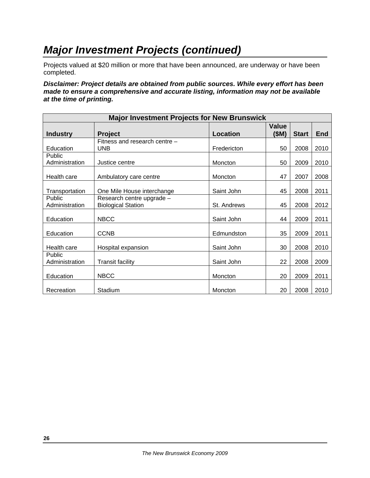# *Major Investment Projects (continued)*

Projects valued at \$20 million or more that have been announced, are underway or have been completed.

*Disclaimer: Project details are obtained from public sources. While every effort has been made to ensure a comprehensive and accurate listing, information may not be available at the time of printing.* 

| <b>Major Investment Projects for New Brunswick</b> |                               |                 |                       |              |      |  |
|----------------------------------------------------|-------------------------------|-----------------|-----------------------|--------------|------|--|
| <b>Industry</b>                                    | <b>Project</b>                | <b>Location</b> | <b>Value</b><br>(\$M) | <b>Start</b> | End  |  |
|                                                    | Fitness and research centre - |                 |                       |              |      |  |
| Education                                          | <b>UNB</b>                    | Fredericton     | 50                    | 2008         | 2010 |  |
| <b>Public</b><br>Administration                    | Justice centre                | Moncton         | 50                    | 2009         | 2010 |  |
|                                                    |                               |                 |                       |              |      |  |
| Health care                                        | Ambulatory care centre        | Moncton         | 47                    | 2007         | 2008 |  |
| Transportation                                     | One Mile House interchange    | Saint John      | 45                    | 2008         | 2011 |  |
| Public                                             | Research centre upgrade -     |                 |                       |              |      |  |
| Administration                                     | <b>Biological Station</b>     | St. Andrews     | 45                    | 2008         | 2012 |  |
| Education                                          | <b>NBCC</b>                   | Saint John      | 44                    | 2009         | 2011 |  |
| Education                                          | <b>CCNB</b>                   | Edmundston      | 35                    | 2009         | 2011 |  |
| Health care                                        | Hospital expansion            | Saint John      | 30                    | 2008         | 2010 |  |
| Public                                             |                               |                 |                       |              |      |  |
| Administration                                     | <b>Transit facility</b>       | Saint John      | 22                    | 2008         | 2009 |  |
| Education                                          | <b>NBCC</b>                   | Moncton         | 20                    | 2009         | 2011 |  |
| Recreation                                         | Stadium                       | Moncton         | 20                    | 2008         | 2010 |  |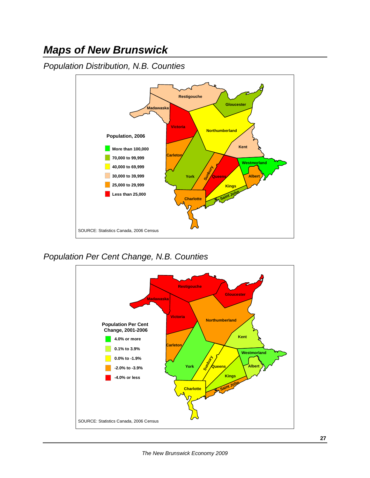#### *Maps of New Brunswick*

*Population Distribution, N.B. Counties* 



*Population Per Cent Change, N.B. Counties*